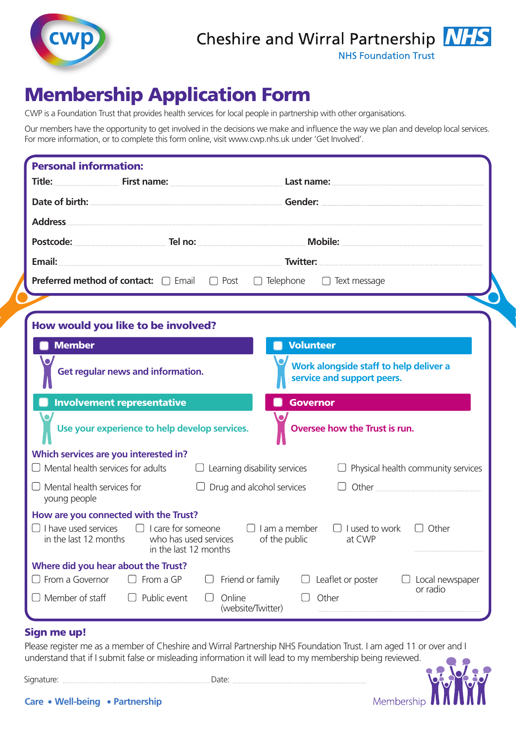

## Membership Application Form

CWP is a Foundation Trust that provides health services for local people in partnership with other organisations.

Our members have the opportunity to get involved in the decisions we make and influence the way we plan and develop local services. For more information, or to complete this form online, visit www.cwp.nhs.uk under 'Get Involved'.

| <b>Personal information:</b>                                                                                                                                                                                                                 |              |                                                                                                                                                                                                                                      |  |  |  |  |  |
|----------------------------------------------------------------------------------------------------------------------------------------------------------------------------------------------------------------------------------------------|--------------|--------------------------------------------------------------------------------------------------------------------------------------------------------------------------------------------------------------------------------------|--|--|--|--|--|
|                                                                                                                                                                                                                                              |              |                                                                                                                                                                                                                                      |  |  |  |  |  |
|                                                                                                                                                                                                                                              |              |                                                                                                                                                                                                                                      |  |  |  |  |  |
|                                                                                                                                                                                                                                              |              |                                                                                                                                                                                                                                      |  |  |  |  |  |
|                                                                                                                                                                                                                                              |              | Postcode: <u>Communications and Telno: Telno: Communications and Mobile: Communications and Mobiles and Mobiles and Mobiles and Mobiles and Mobiles and Mobiles and Mobiles and Mobiles and Mobiles and Mobiles and Mobiles and </u> |  |  |  |  |  |
|                                                                                                                                                                                                                                              |              |                                                                                                                                                                                                                                      |  |  |  |  |  |
|                                                                                                                                                                                                                                              |              | <b>Preferred method of contact:</b> □ Email □ Post □ Telephone<br>Text message                                                                                                                                                       |  |  |  |  |  |
|                                                                                                                                                                                                                                              |              |                                                                                                                                                                                                                                      |  |  |  |  |  |
| How would you like to be involved?                                                                                                                                                                                                           |              |                                                                                                                                                                                                                                      |  |  |  |  |  |
| <b>Member</b><br><b>Volunteer</b>                                                                                                                                                                                                            |              |                                                                                                                                                                                                                                      |  |  |  |  |  |
| Work alongside staff to help deliver a<br>Get regular news and information.<br>service and support peers.                                                                                                                                    |              |                                                                                                                                                                                                                                      |  |  |  |  |  |
| <b>Involvement representative</b><br><b>Governor</b>                                                                                                                                                                                         |              |                                                                                                                                                                                                                                      |  |  |  |  |  |
| Use your experience to help develop services.<br>Oversee how the Trust is run.                                                                                                                                                               |              |                                                                                                                                                                                                                                      |  |  |  |  |  |
| Which services are you interested in?                                                                                                                                                                                                        |              |                                                                                                                                                                                                                                      |  |  |  |  |  |
| $\Box$ Mental health services for adults                                                                                                                                                                                                     |              | $\Box$ Learning disability services<br>$\Box$ Physical health community services                                                                                                                                                     |  |  |  |  |  |
| Mental health services for<br>young people                                                                                                                                                                                                   |              | Drug and alcohol services                                                                                                                                                                                                            |  |  |  |  |  |
| How are you connected with the Trust?<br>I have used services<br>$\Box$ I care for someone<br>I used to work<br>I am a member<br>Other<br>in the last 12 months<br>who has used services<br>of the public<br>at CWP<br>in the last 12 months |              |                                                                                                                                                                                                                                      |  |  |  |  |  |
| Where did you hear about the Trust?<br>From a Governor                                                                                                                                                                                       | From a GP    | Friend or family<br>Leaflet or poster<br>Local newspaper                                                                                                                                                                             |  |  |  |  |  |
| Member of staff                                                                                                                                                                                                                              | Public event | or radio<br>Online<br>Other<br>(website/Twitter)                                                                                                                                                                                     |  |  |  |  |  |

## Sign me up!

Please register me as a member of Cheshire and Wirral Partnership NHS Foundation Trust. I am aged 11 or over and I understand that if I submit false or misleading information it will lead to my membership being reviewed.

Signature: Date: